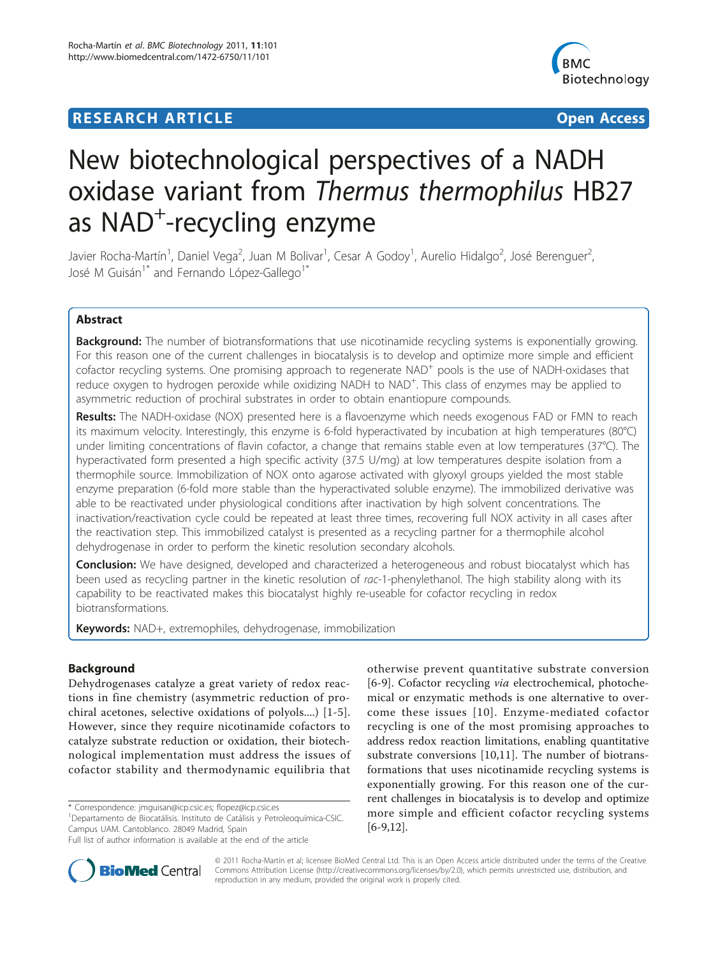## **RESEARCH ARTICLE External Structure Control Control Control Control Control Control Control Control Control Control Control Control Control Control Control Control Control Control Control Control Control Control Control**



# New biotechnological perspectives of a NADH oxidase variant from Thermus thermophilus HB27 as NAD<sup>+</sup>-recycling enzyme

Javier Rocha-Martín<sup>1</sup>, Daniel Vega<sup>2</sup>, Juan M Bolivar<sup>1</sup>, Cesar A Godoy<sup>1</sup>, Aurelio Hidalgo<sup>2</sup>, José Berenguer<sup>2</sup> , José M Guisán<sup>1\*</sup> and Fernando López-Gallego<sup>1\*</sup>

## Abstract

**Background:** The number of biotransformations that use nicotinamide recycling systems is exponentially growing. For this reason one of the current challenges in biocatalysis is to develop and optimize more simple and efficient cofactor recycling systems. One promising approach to regenerate NAD<sup>+</sup> pools is the use of NADH-oxidases that reduce oxygen to hydrogen peroxide while oxidizing NADH to NAD<sup>+</sup>. This class of enzymes may be applied to asymmetric reduction of prochiral substrates in order to obtain enantiopure compounds.

Results: The NADH-oxidase (NOX) presented here is a flavoenzyme which needs exogenous FAD or FMN to reach its maximum velocity. Interestingly, this enzyme is 6-fold hyperactivated by incubation at high temperatures (80°C) under limiting concentrations of flavin cofactor, a change that remains stable even at low temperatures (37°C). The hyperactivated form presented a high specific activity (37.5 U/mg) at low temperatures despite isolation from a thermophile source. Immobilization of NOX onto agarose activated with glyoxyl groups yielded the most stable enzyme preparation (6-fold more stable than the hyperactivated soluble enzyme). The immobilized derivative was able to be reactivated under physiological conditions after inactivation by high solvent concentrations. The inactivation/reactivation cycle could be repeated at least three times, recovering full NOX activity in all cases after the reactivation step. This immobilized catalyst is presented as a recycling partner for a thermophile alcohol dehydrogenase in order to perform the kinetic resolution secondary alcohols.

**Conclusion:** We have designed, developed and characterized a heterogeneous and robust biocatalyst which has been used as recycling partner in the kinetic resolution of rac-1-phenylethanol. The high stability along with its capability to be reactivated makes this biocatalyst highly re-useable for cofactor recycling in redox biotransformations.

Keywords: NAD+, extremophiles, dehydrogenase, immobilization

## Background

Dehydrogenases catalyze a great variety of redox reactions in fine chemistry (asymmetric reduction of prochiral acetones, selective oxidations of polyols....) [\[1](#page-9-0)-[5](#page-9-0)]. However, since they require nicotinamide cofactors to catalyze substrate reduction or oxidation, their biotechnological implementation must address the issues of cofactor stability and thermodynamic equilibria that

\* Correspondence: [jmguisan@icp.csic.es](mailto:jmguisan@icp.csic.es); [flopez@icp.csic.es](mailto:flopez@icp.csic.es)

<sup>1</sup>Departamento de Biocatálisis. Instituto de Catálisis y Petroleoquímica-CSIC. Campus UAM. Cantoblanco. 28049 Madrid, Spain

otherwise prevent quantitative substrate conversion [[6-9\]](#page-9-0). Cofactor recycling via electrochemical, photochemical or enzymatic methods is one alternative to overcome these issues [[10\]](#page-9-0). Enzyme-mediated cofactor recycling is one of the most promising approaches to address redox reaction limitations, enabling quantitative substrate conversions [[10,11](#page-9-0)]. The number of biotransformations that uses nicotinamide recycling systems is exponentially growing. For this reason one of the current challenges in biocatalysis is to develop and optimize more simple and efficient cofactor recycling systems [[6-9,12](#page-9-0)].



© 2011 Rocha-Martín et al; licensee BioMed Central Ltd. This is an Open Access article distributed under the terms of the Creative Commons Attribution License [\(http://creativecommons.org/licenses/by/2.0](http://creativecommons.org/licenses/by/2.0)), which permits unrestricted use, distribution, and reproduction in any medium, provided the original work is properly cited.

Full list of author information is available at the end of the article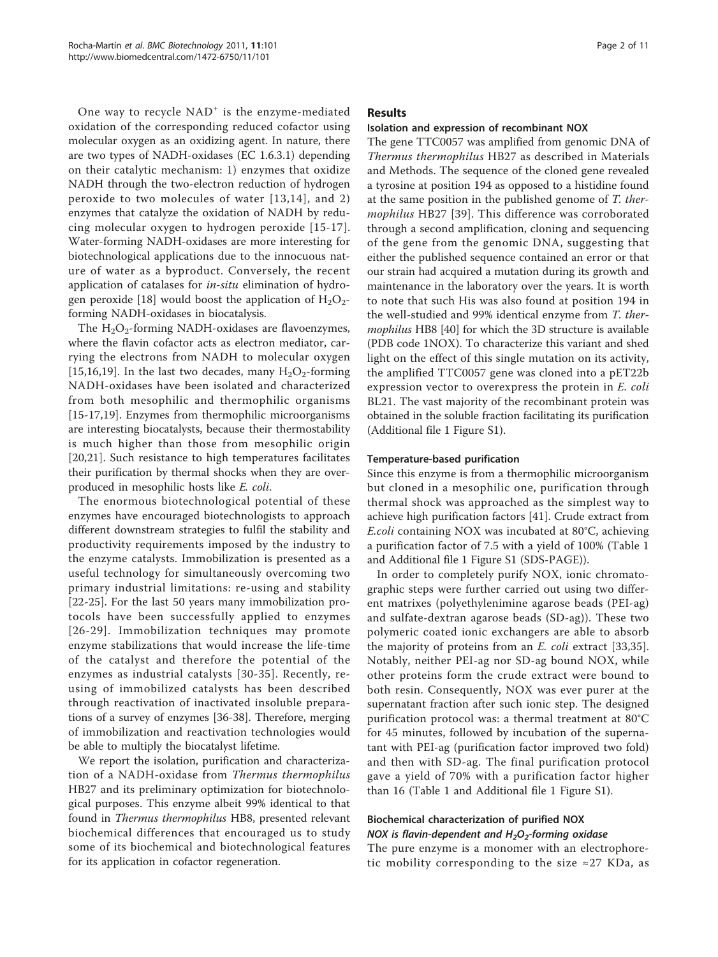One way to recycle NAD<sup>+</sup> is the enzyme-mediated oxidation of the corresponding reduced cofactor using molecular oxygen as an oxidizing agent. In nature, there are two types of NADH-oxidases (EC 1.6.3.1) depending on their catalytic mechanism: 1) enzymes that oxidize NADH through the two-electron reduction of hydrogen peroxide to two molecules of water [[13](#page-9-0),[14](#page-9-0)], and 2) enzymes that catalyze the oxidation of NADH by reducing molecular oxygen to hydrogen peroxide [\[15-17\]](#page-9-0). Water-forming NADH-oxidases are more interesting for biotechnological applications due to the innocuous nature of water as a byproduct. Conversely, the recent application of catalases for in-situ elimination of hydro-gen peroxide [[18\]](#page-9-0) would boost the application of  $H_2O_2$ forming NADH-oxidases in biocatalysis.

The  $H_2O_2$ -forming NADH-oxidases are flavoenzymes, where the flavin cofactor acts as electron mediator, carrying the electrons from NADH to molecular oxygen [[15,16,19](#page-9-0)]. In the last two decades, many  $H_2O_2$ -forming NADH-oxidases have been isolated and characterized from both mesophilic and thermophilic organisms [[15-17](#page-9-0),[19\]](#page-9-0). Enzymes from thermophilic microorganisms are interesting biocatalysts, because their thermostability is much higher than those from mesophilic origin [[20,21](#page-9-0)]. Such resistance to high temperatures facilitates their purification by thermal shocks when they are overproduced in mesophilic hosts like E. coli.

The enormous biotechnological potential of these enzymes have encouraged biotechnologists to approach different downstream strategies to fulfil the stability and productivity requirements imposed by the industry to the enzyme catalysts. Immobilization is presented as a useful technology for simultaneously overcoming two primary industrial limitations: re-using and stability [[22-25](#page-9-0)]. For the last 50 years many immobilization protocols have been successfully applied to enzymes [[26](#page-9-0)-[29\]](#page-10-0). Immobilization techniques may promote enzyme stabilizations that would increase the life-time of the catalyst and therefore the potential of the enzymes as industrial catalysts [[30-35\]](#page-10-0). Recently, reusing of immobilized catalysts has been described through reactivation of inactivated insoluble preparations of a survey of enzymes [[36-38](#page-10-0)]. Therefore, merging of immobilization and reactivation technologies would be able to multiply the biocatalyst lifetime.

We report the isolation, purification and characterization of a NADH-oxidase from Thermus thermophilus HB27 and its preliminary optimization for biotechnological purposes. This enzyme albeit 99% identical to that found in Thermus thermophilus HB8, presented relevant biochemical differences that encouraged us to study some of its biochemical and biotechnological features for its application in cofactor regeneration.

#### **Results**

#### Isolation and expression of recombinant NOX

The gene TTC0057 was amplified from genomic DNA of Thermus thermophilus HB27 as described in Materials and Methods. The sequence of the cloned gene revealed a tyrosine at position 194 as opposed to a histidine found at the same position in the published genome of T. thermophilus HB27 [\[39\]](#page-10-0). This difference was corroborated through a second amplification, cloning and sequencing of the gene from the genomic DNA, suggesting that either the published sequence contained an error or that our strain had acquired a mutation during its growth and maintenance in the laboratory over the years. It is worth to note that such His was also found at position 194 in the well-studied and 99% identical enzyme from T. ther-mophilus HB8 [[40](#page-10-0)] for which the 3D structure is available (PDB code 1NOX). To characterize this variant and shed light on the effect of this single mutation on its activity, the amplified TTC0057 gene was cloned into a pET22b expression vector to overexpress the protein in E. coli BL21. The vast majority of the recombinant protein was obtained in the soluble fraction facilitating its purification (Additional file [1](#page-9-0) Figure S1).

#### Temperature-based purification

Since this enzyme is from a thermophilic microorganism but cloned in a mesophilic one, purification through thermal shock was approached as the simplest way to achieve high purification factors [[41\]](#page-10-0). Crude extract from E.coli containing NOX was incubated at 80°C, achieving a purification factor of 7.5 with a yield of 100% (Table [1](#page-2-0) and Additional file [1](#page-9-0) Figure S1 (SDS-PAGE)).

In order to completely purify NOX, ionic chromatographic steps were further carried out using two different matrixes (polyethylenimine agarose beads (PEI-ag) and sulfate-dextran agarose beads (SD-ag)). These two polymeric coated ionic exchangers are able to absorb the majority of proteins from an E. coli extract [[33,35](#page-10-0)]. Notably, neither PEI-ag nor SD-ag bound NOX, while other proteins form the crude extract were bound to both resin. Consequently, NOX was ever purer at the supernatant fraction after such ionic step. The designed purification protocol was: a thermal treatment at 80°C for 45 minutes, followed by incubation of the supernatant with PEI-ag (purification factor improved two fold) and then with SD-ag. The final purification protocol gave a yield of 70% with a purification factor higher than 16 (Table [1](#page-2-0) and Additional file [1](#page-9-0) Figure S1).

#### Biochemical characterization of purified NOX NOX is flavin-dependent and  $H_2O_2$ -forming oxidase

The pure enzyme is a monomer with an electrophoretic mobility corresponding to the size  $\approx 27$  KDa, as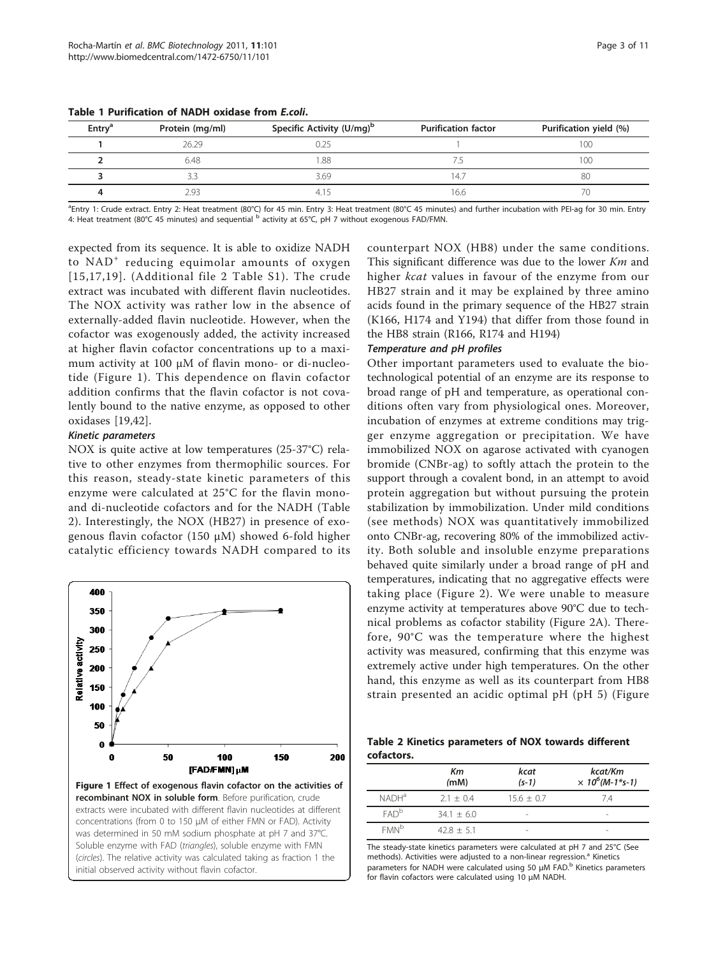| Entry <sup>a</sup> | Protein (mg/ml) | Specific Activity (U/mg) <sup>b</sup> | <b>Purification factor</b> | Purification yield (%) |
|--------------------|-----------------|---------------------------------------|----------------------------|------------------------|
|                    | 26.29           | 0.25                                  |                            | 100                    |
|                    | 6.48            | .88                                   |                            | 100                    |
|                    |                 | 3.69                                  | 14.7                       | 80                     |
|                    | 2.93            | 4.15                                  | 16.6                       |                        |

<span id="page-2-0"></span>Table 1 Purification of NADH oxidase from E.coli.

a<br>Entry 1: Crude extract. Entry 2: Heat treatment (80℃) for 45 min. Entry 3: Heat treatment (80℃ 45 minutes) and further incubation with PEI-ag for 30 min. Entry 4: Heat treatment (80 $^{\circ}$ C 45 minutes) and sequential  $^{\circ}$  activity at 65 $^{\circ}$ C, pH 7 without exogenous FAD/FMN.

expected from its sequence. It is able to oxidize NADH to  $NAD^+$  reducing equimolar amounts of oxygen [[15](#page-9-0),[17,19](#page-9-0)]. (Additional file [2](#page-9-0) Table S1). The crude extract was incubated with different flavin nucleotides. The NOX activity was rather low in the absence of externally-added flavin nucleotide. However, when the cofactor was exogenously added, the activity increased at higher flavin cofactor concentrations up to a maximum activity at 100 μM of flavin mono- or di-nucleotide (Figure 1). This dependence on flavin cofactor addition confirms that the flavin cofactor is not covalently bound to the native enzyme, as opposed to other oxidases [\[19](#page-9-0)[,42](#page-10-0)].

#### Kinetic parameters

NOX is quite active at low temperatures (25-37°C) relative to other enzymes from thermophilic sources. For this reason, steady-state kinetic parameters of this enzyme were calculated at 25°C for the flavin monoand di-nucleotide cofactors and for the NADH (Table 2). Interestingly, the NOX (HB27) in presence of exogenous flavin cofactor (150 μM) showed 6-fold higher catalytic efficiency towards NADH compared to its



counterpart NOX (HB8) under the same conditions. This significant difference was due to the lower Km and higher *kcat* values in favour of the enzyme from our HB27 strain and it may be explained by three amino acids found in the primary sequence of the HB27 strain (K166, H174 and Y194) that differ from those found in the HB8 strain (R166, R174 and H194)

#### Temperature and pH profiles

Other important parameters used to evaluate the biotechnological potential of an enzyme are its response to broad range of pH and temperature, as operational conditions often vary from physiological ones. Moreover, incubation of enzymes at extreme conditions may trigger enzyme aggregation or precipitation. We have immobilized NOX on agarose activated with cyanogen bromide (CNBr-ag) to softly attach the protein to the support through a covalent bond, in an attempt to avoid protein aggregation but without pursuing the protein stabilization by immobilization. Under mild conditions (see methods) NOX was quantitatively immobilized onto CNBr-ag, recovering 80% of the immobilized activity. Both soluble and insoluble enzyme preparations behaved quite similarly under a broad range of pH and temperatures, indicating that no aggregative effects were taking place (Figure [2](#page-3-0)). We were unable to measure enzyme activity at temperatures above 90°C due to technical problems as cofactor stability (Figure [2A](#page-3-0)). Therefore, 90°C was the temperature where the highest activity was measured, confirming that this enzyme was extremely active under high temperatures. On the other hand, this enzyme as well as its counterpart from HB8 strain presented an acidic optimal pH (pH 5) (Figure

|            | Table 2 Kinetics parameters of NOX towards different |  |  |
|------------|------------------------------------------------------|--|--|
| cofactors. |                                                      |  |  |

|                         | Кm<br>(mM)   | kcat<br>$(s-1)$ | kcat/Km<br>$\times 10^6$ (M-1*s-1) |
|-------------------------|--------------|-----------------|------------------------------------|
| NADH <sup>a</sup>       | $2.1 + 0.4$  | $15.6 + 0.7$    | 74                                 |
| FAD <sup>b</sup>        | $34.1 + 6.0$ | $\qquad \qquad$ | $\overline{\phantom{a}}$           |
| <b>FMN</b> <sup>b</sup> | $42.8 + 5.1$ | $\sim$          | $\overline{\phantom{a}}$           |

The steady-state kinetics parameters were calculated at pH 7 and 25°C (See methods). Activities were adjusted to a non-linear regression.<sup>a</sup> Kinetics parameters for NADH were calculated using 50 μM FAD.<sup>b</sup> Kinetics parameters for flavin cofactors were calculated using 10 μM NADH.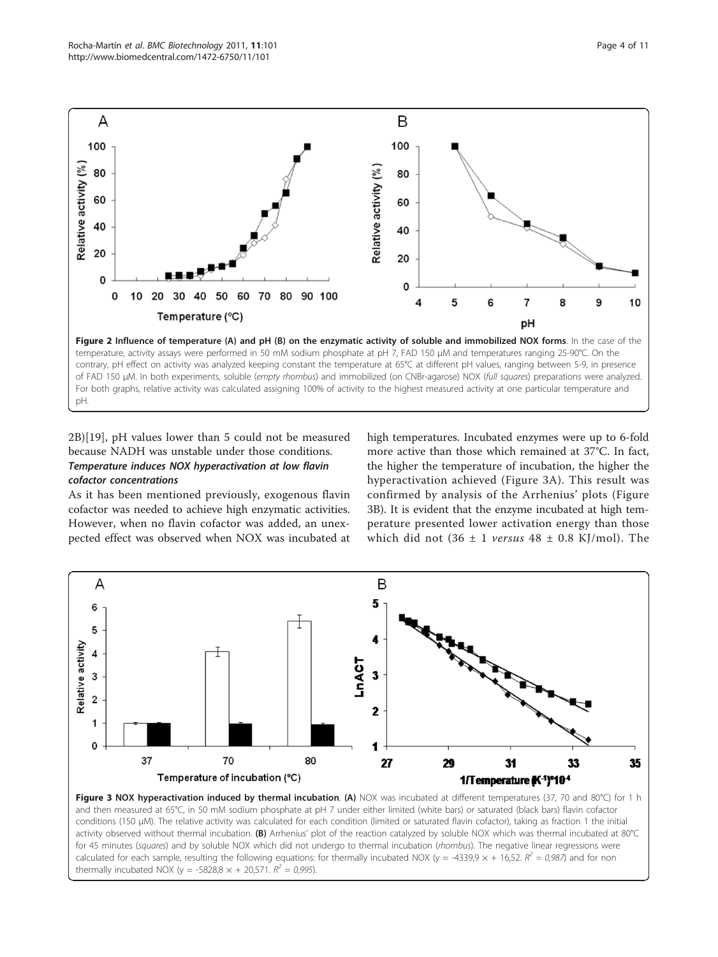<span id="page-3-0"></span>

## 2B)[[19\]](#page-9-0), pH values lower than 5 could not be measured because NADH was unstable under those conditions. Temperature induces NOX hyperactivation at low flavin cofactor concentrations

As it has been mentioned previously, exogenous flavin cofactor was needed to achieve high enzymatic activities. However, when no flavin cofactor was added, an unexpected effect was observed when NOX was incubated at high temperatures. Incubated enzymes were up to 6-fold more active than those which remained at 37°C. In fact, the higher the temperature of incubation, the higher the hyperactivation achieved (Figure 3A). This result was confirmed by analysis of the Arrhenius' plots (Figure 3B). It is evident that the enzyme incubated at high temperature presented lower activation energy than those which did not  $(36 \pm 1 \text{ versus } 48 \pm 0.8 \text{ KJ/mol})$ . The



and then measured at 65°C, in 50 mM sodium phosphate at pH 7 under either limited (white bars) or saturated (black bars) flavin cofactor conditions (150 μM). The relative activity was calculated for each condition (limited or saturated flavin cofactor), taking as fraction 1 the initial activity observed without thermal incubation. (B) Arrhenius' plot of the reaction catalyzed by soluble NOX which was thermal incubated at 80°C for 45 minutes (squares) and by soluble NOX which did not undergo to thermal incubation (rhombus). The negative linear regressions were calculated for each sample, resulting the following equations: for thermally incubated NOX (y = -4339,9  $\times$  + 16,52.  $R^2$  = 0,987) and for non thermally incubated NOX (y = -5828,8  $\times$  + 20,571.  $R^2$  = 0,995).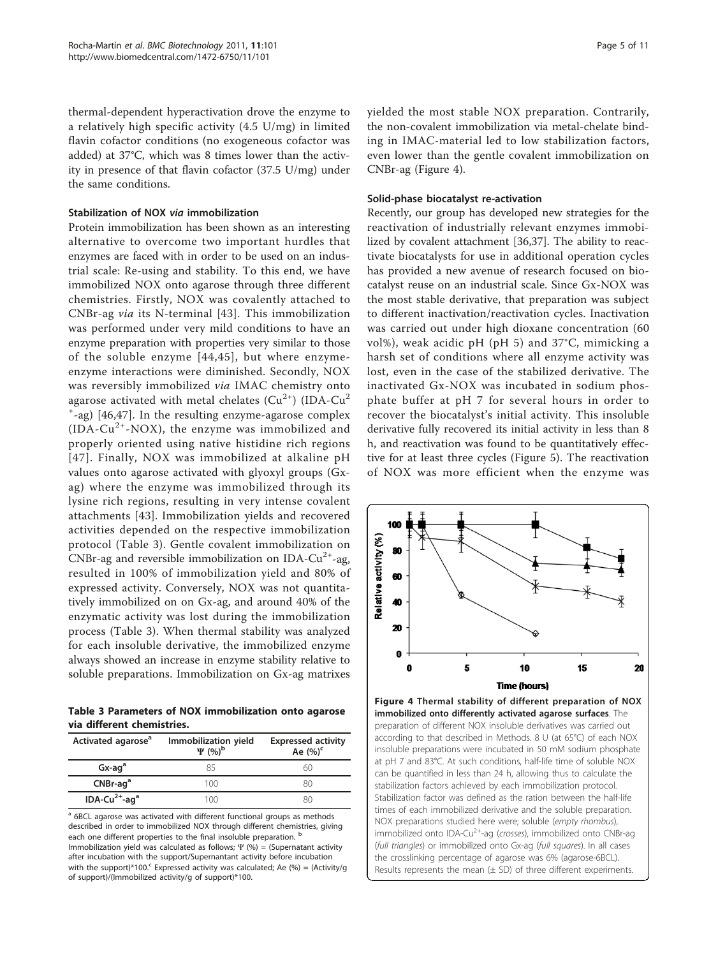thermal-dependent hyperactivation drove the enzyme to a relatively high specific activity (4.5 U/mg) in limited flavin cofactor conditions (no exogeneous cofactor was added) at 37°C, which was 8 times lower than the activity in presence of that flavin cofactor (37.5 U/mg) under the same conditions.

#### Stabilization of NOX via immobilization

Protein immobilization has been shown as an interesting alternative to overcome two important hurdles that enzymes are faced with in order to be used on an industrial scale: Re-using and stability. To this end, we have immobilized NOX onto agarose through three different chemistries. Firstly, NOX was covalently attached to CNBr-ag via its N-terminal [\[43\]](#page-10-0). This immobilization was performed under very mild conditions to have an enzyme preparation with properties very similar to those of the soluble enzyme [[44](#page-10-0),[45\]](#page-10-0), but where enzymeenzyme interactions were diminished. Secondly, NOX was reversibly immobilized via IMAC chemistry onto agarose activated with metal chelates  $(Cu^{2+})$  (IDA-Cu<sup>2</sup>) + -ag) [\[46](#page-10-0),[47\]](#page-10-0). In the resulting enzyme-agarose complex (IDA-Cu<sup>2+</sup>-NOX), the enzyme was immobilized and properly oriented using native histidine rich regions [[47](#page-10-0)]. Finally, NOX was immobilized at alkaline pH values onto agarose activated with glyoxyl groups (Gxag) where the enzyme was immobilized through its lysine rich regions, resulting in very intense covalent attachments [[43](#page-10-0)]. Immobilization yields and recovered activities depended on the respective immobilization protocol (Table 3). Gentle covalent immobilization on CNBr-ag and reversible immobilization on IDA-Cu<sup>2+</sup>-ag, resulted in 100% of immobilization yield and 80% of expressed activity. Conversely, NOX was not quantitatively immobilized on on Gx-ag, and around 40% of the enzymatic activity was lost during the immobilization process (Table 3). When thermal stability was analyzed for each insoluble derivative, the immobilized enzyme always showed an increase in enzyme stability relative to soluble preparations. Immobilization on Gx-ag matrixes

Table 3 Parameters of NOX immobilization onto agarose via different chemistries.

| Activated agarose <sup>a</sup>        | Immobilization yield<br>$\Psi$ (%) <sup>b</sup> | <b>Expressed activity</b><br>Ae $(%)^c$ |
|---------------------------------------|-------------------------------------------------|-----------------------------------------|
| $Gx-aq^a$                             | 85                                              |                                         |
| $CNBr-aqa$                            | 100                                             |                                         |
| IDA-Cu <sup>2+</sup> -ag <sup>a</sup> | l OO                                            |                                         |

6BCL agarose was activated with different functional groups as methods described in order to immobilized NOX through different chemistries, giving each one different properties to the final insoluble preparation. Immobilization yield was calculated as follows;  $\Psi$  (%) = (Supernatant activity after incubation with the support/Supernantant activity before incubation with the support)\*100.<sup>c</sup> Expressed activity was calculated; Ae (%) = (Activity/g of support)/(Immobilized activity/g of support)\*100.

yielded the most stable NOX preparation. Contrarily, the non-covalent immobilization via metal-chelate binding in IMAC-material led to low stabilization factors, even lower than the gentle covalent immobilization on CNBr-ag (Figure 4).

#### Solid-phase biocatalyst re-activation

Recently, our group has developed new strategies for the reactivation of industrially relevant enzymes immobilized by covalent attachment [\[36,37\]](#page-10-0). The ability to reactivate biocatalysts for use in additional operation cycles has provided a new avenue of research focused on biocatalyst reuse on an industrial scale. Since Gx-NOX was the most stable derivative, that preparation was subject to different inactivation/reactivation cycles. Inactivation was carried out under high dioxane concentration (60 vol%), weak acidic pH (pH 5) and 37°C, mimicking a harsh set of conditions where all enzyme activity was lost, even in the case of the stabilized derivative. The inactivated Gx-NOX was incubated in sodium phosphate buffer at pH 7 for several hours in order to recover the biocatalyst's initial activity. This insoluble derivative fully recovered its initial activity in less than 8 h, and reactivation was found to be quantitatively effective for at least three cycles (Figure [5](#page-5-0)). The reactivation of NOX was more efficient when the enzyme was



Figure 4 Thermal stability of different preparation of NOX immobilized onto differently activated agarose surfaces. The preparation of different NOX insoluble derivatives was carried out according to that described in Methods. 8 U (at 65°C) of each NOX insoluble preparations were incubated in 50 mM sodium phosphate at pH 7 and 83°C. At such conditions, half-life time of soluble NOX can be quantified in less than 24 h, allowing thus to calculate the stabilization factors achieved by each immobilization protocol. Stabilization factor was defined as the ration between the half-life times of each immobilized derivative and the soluble preparation. NOX preparations studied here were; soluble (empty rhombus), immobilized onto IDA-Cu<sup>2+</sup>-ag (crosses), immobilized onto CNBr-ag (full triangles) or immobilized onto Gx-ag (full squares). In all cases the crosslinking percentage of agarose was 6% (agarose-6BCL). Results represents the mean  $(\pm$  SD) of three different experiments.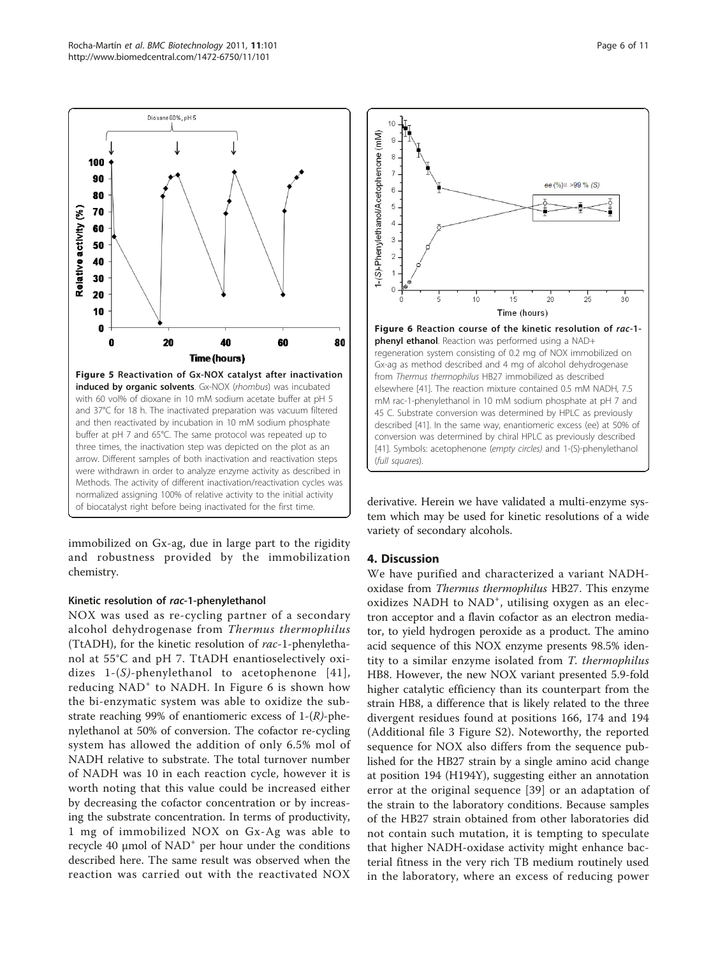<span id="page-5-0"></span>

immobilized on Gx-ag, due in large part to the rigidity and robustness provided by the immobilization chemistry.

#### Kinetic resolution of rac-1-phenylethanol

NOX was used as re-cycling partner of a secondary alcohol dehydrogenase from Thermus thermophilus (TtADH), for the kinetic resolution of rac-1-phenylethanol at 55°C and pH 7. TtADH enantioselectively oxidizes 1-(S)-phenylethanol to acetophenone [[41\]](#page-10-0), reducing  $NAD<sup>+</sup>$  to NADH. In Figure 6 is shown how the bi-enzymatic system was able to oxidize the substrate reaching 99% of enantiomeric excess of  $1-(R)$ -phenylethanol at 50% of conversion. The cofactor re-cycling system has allowed the addition of only 6.5% mol of NADH relative to substrate. The total turnover number of NADH was 10 in each reaction cycle, however it is worth noting that this value could be increased either by decreasing the cofactor concentration or by increasing the substrate concentration. In terms of productivity, 1 mg of immobilized NOX on Gx-Ag was able to recycle 40 μmol of  $NAD<sup>+</sup>$  per hour under the conditions described here. The same result was observed when the reaction was carried out with the reactivated NOX



derivative. Herein we have validated a multi-enzyme system which may be used for kinetic resolutions of a wide variety of secondary alcohols.

## 4. Discussion

We have purified and characterized a variant NADHoxidase from Thermus thermophilus HB27. This enzyme oxidizes NADH to NAD<sup>+</sup>, utilising oxygen as an electron acceptor and a flavin cofactor as an electron mediator, to yield hydrogen peroxide as a product. The amino acid sequence of this NOX enzyme presents 98.5% identity to a similar enzyme isolated from T. thermophilus HB8. However, the new NOX variant presented 5.9-fold higher catalytic efficiency than its counterpart from the strain HB8, a difference that is likely related to the three divergent residues found at positions 166, 174 and 194 (Additional file [3](#page-9-0) Figure S2). Noteworthy, the reported sequence for NOX also differs from the sequence published for the HB27 strain by a single amino acid change at position 194 (H194Y), suggesting either an annotation error at the original sequence [[39](#page-10-0)] or an adaptation of the strain to the laboratory conditions. Because samples of the HB27 strain obtained from other laboratories did not contain such mutation, it is tempting to speculate that higher NADH-oxidase activity might enhance bacterial fitness in the very rich TB medium routinely used in the laboratory, where an excess of reducing power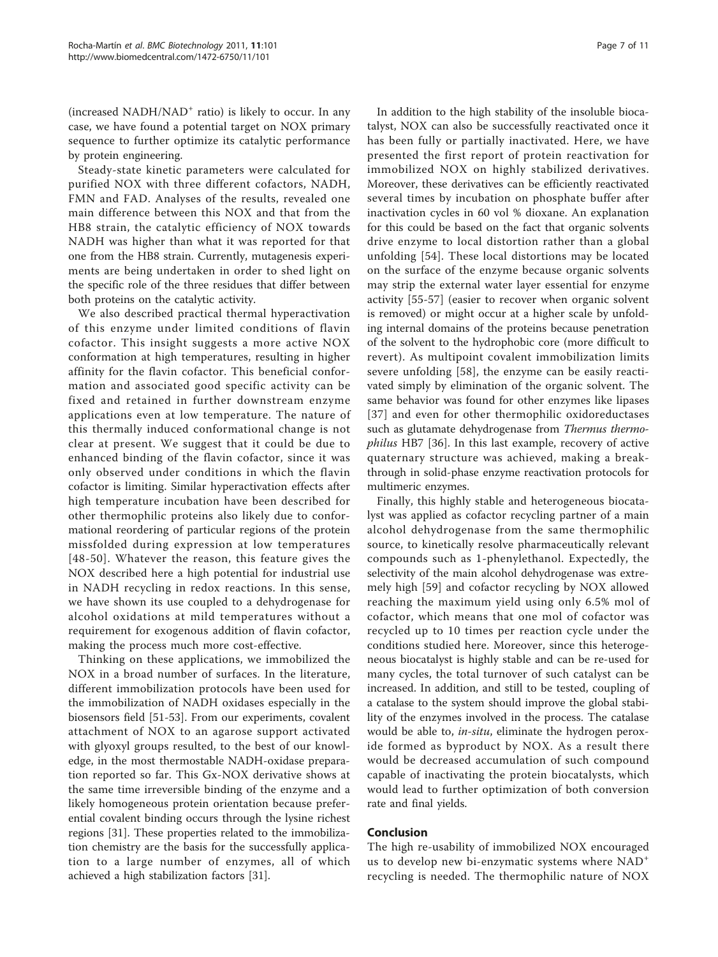(increased NADH/NAD<sup>+</sup> ratio) is likely to occur. In any case, we have found a potential target on NOX primary sequence to further optimize its catalytic performance by protein engineering.

Steady-state kinetic parameters were calculated for purified NOX with three different cofactors, NADH, FMN and FAD. Analyses of the results, revealed one main difference between this NOX and that from the HB8 strain, the catalytic efficiency of NOX towards NADH was higher than what it was reported for that one from the HB8 strain. Currently, mutagenesis experiments are being undertaken in order to shed light on the specific role of the three residues that differ between both proteins on the catalytic activity.

We also described practical thermal hyperactivation of this enzyme under limited conditions of flavin cofactor. This insight suggests a more active NOX conformation at high temperatures, resulting in higher affinity for the flavin cofactor. This beneficial conformation and associated good specific activity can be fixed and retained in further downstream enzyme applications even at low temperature. The nature of this thermally induced conformational change is not clear at present. We suggest that it could be due to enhanced binding of the flavin cofactor, since it was only observed under conditions in which the flavin cofactor is limiting. Similar hyperactivation effects after high temperature incubation have been described for other thermophilic proteins also likely due to conformational reordering of particular regions of the protein missfolded during expression at low temperatures [[48-50\]](#page-10-0). Whatever the reason, this feature gives the NOX described here a high potential for industrial use in NADH recycling in redox reactions. In this sense, we have shown its use coupled to a dehydrogenase for alcohol oxidations at mild temperatures without a requirement for exogenous addition of flavin cofactor, making the process much more cost-effective.

Thinking on these applications, we immobilized the NOX in a broad number of surfaces. In the literature, different immobilization protocols have been used for the immobilization of NADH oxidases especially in the biosensors field [[51-53\]](#page-10-0). From our experiments, covalent attachment of NOX to an agarose support activated with glyoxyl groups resulted, to the best of our knowledge, in the most thermostable NADH-oxidase preparation reported so far. This Gx-NOX derivative shows at the same time irreversible binding of the enzyme and a likely homogeneous protein orientation because preferential covalent binding occurs through the lysine richest regions [[31](#page-10-0)]. These properties related to the immobilization chemistry are the basis for the successfully application to a large number of enzymes, all of which achieved a high stabilization factors [\[31](#page-10-0)].

In addition to the high stability of the insoluble biocatalyst, NOX can also be successfully reactivated once it has been fully or partially inactivated. Here, we have presented the first report of protein reactivation for immobilized NOX on highly stabilized derivatives. Moreover, these derivatives can be efficiently reactivated several times by incubation on phosphate buffer after inactivation cycles in 60 vol % dioxane. An explanation for this could be based on the fact that organic solvents drive enzyme to local distortion rather than a global unfolding [[54\]](#page-10-0). These local distortions may be located on the surface of the enzyme because organic solvents may strip the external water layer essential for enzyme activity [\[55-57](#page-10-0)] (easier to recover when organic solvent is removed) or might occur at a higher scale by unfolding internal domains of the proteins because penetration of the solvent to the hydrophobic core (more difficult to revert). As multipoint covalent immobilization limits severe unfolding [[58\]](#page-10-0), the enzyme can be easily reactivated simply by elimination of the organic solvent. The same behavior was found for other enzymes like lipases [[37\]](#page-10-0) and even for other thermophilic oxidoreductases such as glutamate dehydrogenase from Thermus thermophilus HB7 [\[36](#page-10-0)]. In this last example, recovery of active quaternary structure was achieved, making a breakthrough in solid-phase enzyme reactivation protocols for multimeric enzymes.

Finally, this highly stable and heterogeneous biocatalyst was applied as cofactor recycling partner of a main alcohol dehydrogenase from the same thermophilic source, to kinetically resolve pharmaceutically relevant compounds such as 1-phenylethanol. Expectedly, the selectivity of the main alcohol dehydrogenase was extremely high [\[59](#page-10-0)] and cofactor recycling by NOX allowed reaching the maximum yield using only 6.5% mol of cofactor, which means that one mol of cofactor was recycled up to 10 times per reaction cycle under the conditions studied here. Moreover, since this heterogeneous biocatalyst is highly stable and can be re-used for many cycles, the total turnover of such catalyst can be increased. In addition, and still to be tested, coupling of a catalase to the system should improve the global stability of the enzymes involved in the process. The catalase would be able to, in-situ, eliminate the hydrogen peroxide formed as byproduct by NOX. As a result there would be decreased accumulation of such compound capable of inactivating the protein biocatalysts, which would lead to further optimization of both conversion rate and final yields.

#### Conclusion

The high re-usability of immobilized NOX encouraged us to develop new bi-enzymatic systems where NAD<sup>+</sup> recycling is needed. The thermophilic nature of NOX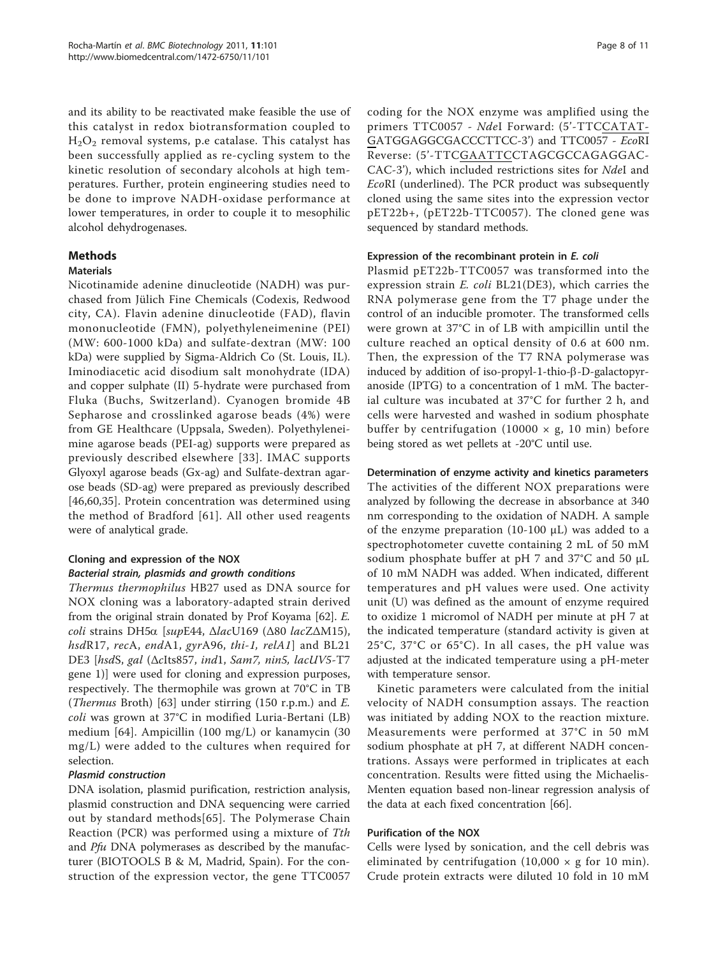and its ability to be reactivated make feasible the use of this catalyst in redox biotransformation coupled to  $H<sub>2</sub>O<sub>2</sub>$  removal systems, p.e catalase. This catalyst has been successfully applied as re-cycling system to the kinetic resolution of secondary alcohols at high temperatures. Further, protein engineering studies need to be done to improve NADH-oxidase performance at lower temperatures, in order to couple it to mesophilic alcohol dehydrogenases.

## Methods

#### **Materials**

Nicotinamide adenine dinucleotide (NADH) was purchased from Jülich Fine Chemicals (Codexis, Redwood city, CA). Flavin adenine dinucleotide (FAD), flavin mononucleotide (FMN), polyethyleneimenine (PEI) (MW: 600-1000 kDa) and sulfate-dextran (MW: 100 kDa) were supplied by Sigma-Aldrich Co (St. Louis, IL). Iminodiacetic acid disodium salt monohydrate (IDA) and copper sulphate (II) 5-hydrate were purchased from Fluka (Buchs, Switzerland). Cyanogen bromide 4B Sepharose and crosslinked agarose beads (4%) were from GE Healthcare (Uppsala, Sweden). Polyethyleneimine agarose beads (PEI-ag) supports were prepared as previously described elsewhere [[33\]](#page-10-0). IMAC supports Glyoxyl agarose beads (Gx-ag) and Sulfate-dextran agarose beads (SD-ag) were prepared as previously described [[46,60,35\]](#page-10-0). Protein concentration was determined using the method of Bradford [[61\]](#page-10-0). All other used reagents were of analytical grade.

#### Cloning and expression of the NOX Bacterial strain, plasmids and growth conditions

Thermus thermophilus HB27 used as DNA source for NOX cloning was a laboratory-adapted strain derived from the original strain donated by Prof Koyama [[62](#page-10-0)]. E. coli strains DH5a [supE44, ΔlacU169 (Δ80 lacZΔM15), hsdR17, recA, endA1, gyrA96, thi-1, relA1] and BL21 DE3 [hsdS, gal (ΔcIts857, ind1, Sam7, nin5, lacUV5-T7 gene 1)] were used for cloning and expression purposes, respectively. The thermophile was grown at 70°C in TB (*Thermus* Broth) [[63](#page-10-0)] under stirring  $(150$  r.p.m.) and *E*. coli was grown at 37°C in modified Luria-Bertani (LB) medium [[64](#page-10-0)]. Ampicillin (100 mg/L) or kanamycin (30 mg/L) were added to the cultures when required for selection.

#### Plasmid construction

DNA isolation, plasmid purification, restriction analysis, plasmid construction and DNA sequencing were carried out by standard methods[[65](#page-10-0)]. The Polymerase Chain Reaction (PCR) was performed using a mixture of Tth and Pfu DNA polymerases as described by the manufacturer (BIOTOOLS B & M, Madrid, Spain). For the construction of the expression vector, the gene TTC0057 coding for the NOX enzyme was amplified using the primers TTC0057 - NdeI Forward: (5'-TTCCATAT-GATGGAGGCGACCCTTCC-3') and TTC0057 - EcoRI Reverse: (5'-TTCGAATTCCTAGCGCCAGAGGAC-CAC-3'), which included restrictions sites for NdeI and EcoRI (underlined). The PCR product was subsequently cloned using the same sites into the expression vector pET22b+, (pET22b-TTC0057). The cloned gene was sequenced by standard methods.

#### Expression of the recombinant protein in E. coli

Plasmid pET22b-TTC0057 was transformed into the expression strain E. coli BL21(DE3), which carries the RNA polymerase gene from the T7 phage under the control of an inducible promoter. The transformed cells were grown at 37°C in of LB with ampicillin until the culture reached an optical density of 0.6 at 600 nm. Then, the expression of the T7 RNA polymerase was induced by addition of iso-propyl-1-thio- $\beta$ -D-galactopyranoside (IPTG) to a concentration of 1 mM. The bacterial culture was incubated at 37°C for further 2 h, and cells were harvested and washed in sodium phosphate buffer by centrifugation (10000  $\times$  g, 10 min) before being stored as wet pellets at -20°C until use.

#### Determination of enzyme activity and kinetics parameters

The activities of the different NOX preparations were analyzed by following the decrease in absorbance at 340 nm corresponding to the oxidation of NADH. A sample of the enzyme preparation (10-100  $\mu$ L) was added to a spectrophotometer cuvette containing 2 mL of 50 mM sodium phosphate buffer at pH 7 and 37°C and 50 μL of 10 mM NADH was added. When indicated, different temperatures and pH values were used. One activity unit (U) was defined as the amount of enzyme required to oxidize 1 micromol of NADH per minute at pH 7 at the indicated temperature (standard activity is given at 25°C, 37°C or 65°C). In all cases, the pH value was adjusted at the indicated temperature using a pH-meter with temperature sensor.

Kinetic parameters were calculated from the initial velocity of NADH consumption assays. The reaction was initiated by adding NOX to the reaction mixture. Measurements were performed at 37°C in 50 mM sodium phosphate at pH 7, at different NADH concentrations. Assays were performed in triplicates at each concentration. Results were fitted using the Michaelis-Menten equation based non-linear regression analysis of the data at each fixed concentration [\[66](#page-10-0)].

#### Purification of the NOX

Cells were lysed by sonication, and the cell debris was eliminated by centrifugation  $(10,000 \times g)$  for 10 min). Crude protein extracts were diluted 10 fold in 10 mM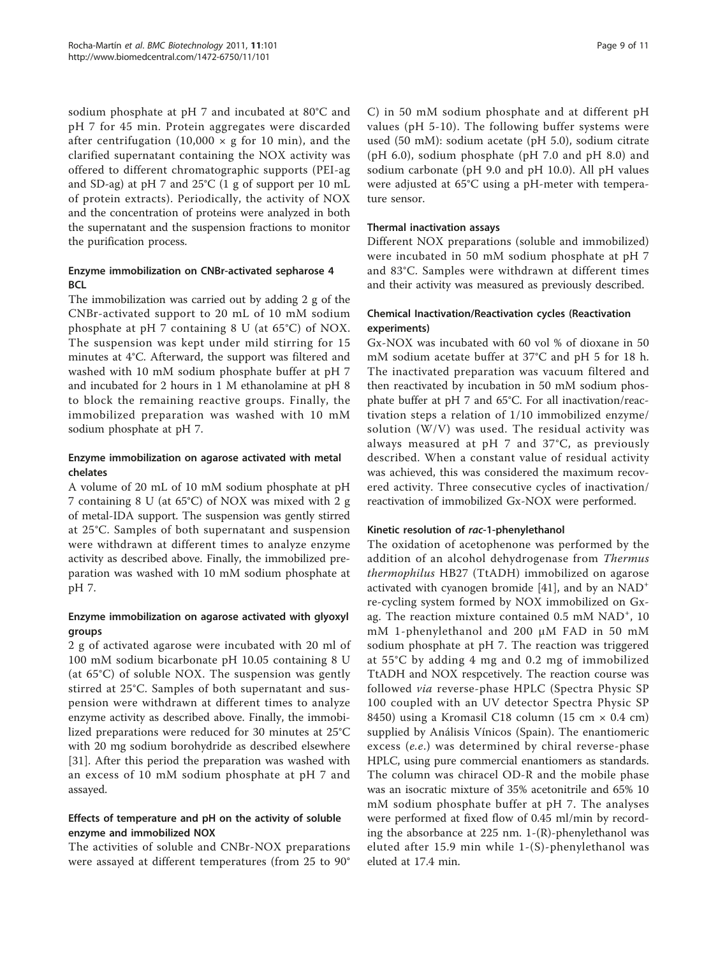sodium phosphate at pH 7 and incubated at 80°C and pH 7 for 45 min. Protein aggregates were discarded after centrifugation (10,000  $\times$  g for 10 min), and the clarified supernatant containing the NOX activity was offered to different chromatographic supports (PEI-ag and SD-ag) at pH 7 and 25°C (1 g of support per 10 mL of protein extracts). Periodically, the activity of NOX and the concentration of proteins were analyzed in both the supernatant and the suspension fractions to monitor the purification process.

## Enzyme immobilization on CNBr-activated sepharose 4 **BCL**

The immobilization was carried out by adding 2 g of the CNBr-activated support to 20 mL of 10 mM sodium phosphate at pH 7 containing 8 U (at 65°C) of NOX. The suspension was kept under mild stirring for 15 minutes at 4°C. Afterward, the support was filtered and washed with 10 mM sodium phosphate buffer at pH 7 and incubated for 2 hours in 1 M ethanolamine at pH 8 to block the remaining reactive groups. Finally, the immobilized preparation was washed with 10 mM sodium phosphate at pH 7.

## Enzyme immobilization on agarose activated with metal chelates

A volume of 20 mL of 10 mM sodium phosphate at pH 7 containing 8 U (at 65°C) of NOX was mixed with 2 g of metal-IDA support. The suspension was gently stirred at 25°C. Samples of both supernatant and suspension were withdrawn at different times to analyze enzyme activity as described above. Finally, the immobilized preparation was washed with 10 mM sodium phosphate at pH 7.

## Enzyme immobilization on agarose activated with glyoxyl groups

2 g of activated agarose were incubated with 20 ml of 100 mM sodium bicarbonate pH 10.05 containing 8 U (at 65°C) of soluble NOX. The suspension was gently stirred at 25°C. Samples of both supernatant and suspension were withdrawn at different times to analyze enzyme activity as described above. Finally, the immobilized preparations were reduced for 30 minutes at 25°C with 20 mg sodium borohydride as described elsewhere [[31\]](#page-10-0). After this period the preparation was washed with an excess of 10 mM sodium phosphate at pH 7 and assayed.

## Effects of temperature and pH on the activity of soluble enzyme and immobilized NOX

The activities of soluble and CNBr-NOX preparations were assayed at different temperatures (from 25 to 90°

C) in 50 mM sodium phosphate and at different pH values (pH 5-10). The following buffer systems were used (50 mM): sodium acetate (pH 5.0), sodium citrate (pH 6.0), sodium phosphate (pH 7.0 and pH 8.0) and sodium carbonate (pH 9.0 and pH 10.0). All pH values were adjusted at 65°C using a pH-meter with temperature sensor.

### Thermal inactivation assays

Different NOX preparations (soluble and immobilized) were incubated in 50 mM sodium phosphate at pH 7 and 83°C. Samples were withdrawn at different times and their activity was measured as previously described.

## Chemical Inactivation/Reactivation cycles (Reactivation experiments)

Gx-NOX was incubated with 60 vol % of dioxane in 50 mM sodium acetate buffer at 37°C and pH 5 for 18 h. The inactivated preparation was vacuum filtered and then reactivated by incubation in 50 mM sodium phosphate buffer at pH 7 and 65°C. For all inactivation/reactivation steps a relation of 1/10 immobilized enzyme/ solution (W/V) was used. The residual activity was always measured at pH 7 and 37°C, as previously described. When a constant value of residual activity was achieved, this was considered the maximum recovered activity. Three consecutive cycles of inactivation/ reactivation of immobilized Gx-NOX were performed.

## Kinetic resolution of rac-1-phenylethanol

The oxidation of acetophenone was performed by the addition of an alcohol dehydrogenase from Thermus thermophilus HB27 (TtADH) immobilized on agarose activated with cyanogen bromide [\[41](#page-10-0)], and by an NAD<sup>+</sup> re-cycling system formed by NOX immobilized on Gxag. The reaction mixture contained 0.5 mM NAD<sup>+</sup>, 10 mM 1-phenylethanol and 200 μM FAD in 50 mM sodium phosphate at pH 7. The reaction was triggered at 55°C by adding 4 mg and 0.2 mg of immobilized TtADH and NOX respcetively. The reaction course was followed via reverse-phase HPLC (Spectra Physic SP 100 coupled with an UV detector Spectra Physic SP 8450) using a Kromasil C18 column (15 cm  $\times$  0.4 cm) supplied by Análisis Vínicos (Spain). The enantiomeric excess (e.e.) was determined by chiral reverse-phase HPLC, using pure commercial enantiomers as standards. The column was chiracel OD-R and the mobile phase was an isocratic mixture of 35% acetonitrile and 65% 10 mM sodium phosphate buffer at pH 7. The analyses were performed at fixed flow of 0.45 ml/min by recording the absorbance at 225 nm. 1-(R)-phenylethanol was eluted after 15.9 min while 1-(S)-phenylethanol was eluted at 17.4 min.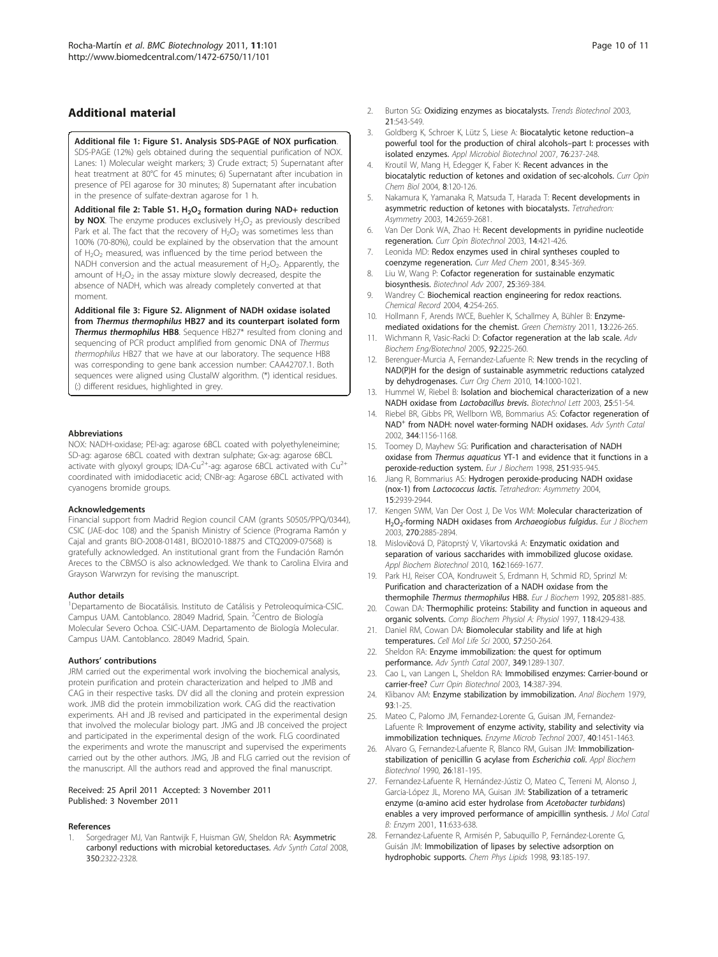### <span id="page-9-0"></span>Additional material

[Additional file 1: F](http://www.biomedcentral.com/content/supplementary/1472-6750-11-101-S1.PDF)igure S1. Analysis SDS-PAGE of NOX purfication. SDS-PAGE (12%) gels obtained during the sequential purification of NOX. Lanes: 1) Molecular weight markers; 3) Crude extract; 5) Supernatant after heat treatment at 80°C for 45 minutes; 6) Supernatant after incubation in presence of PEI agarose for 30 minutes; 8) Supernatant after incubation in the presence of sulfate-dextran agarose for 1 h.

[Additional file 2: T](http://www.biomedcentral.com/content/supplementary/1472-6750-11-101-S2.PDF)able S1.  $H_2O_2$  formation during NAD+ reduction **by NOX**. The enzyme produces exclusively  $H_2O_2$  as previously described Park et al. The fact that the recovery of  $H_2O_2$  was sometimes less than 100% (70-80%), could be explained by the observation that the amount of  $H_2O_2$  measured, was influenced by the time period between the NADH conversion and the actual measurement of  $H_2O_2$ . Apparently, the amount of  $H_2O_2$  in the assay mixture slowly decreased, despite the absence of NADH, which was already completely converted at that moment.

[Additional file 3: F](http://www.biomedcentral.com/content/supplementary/1472-6750-11-101-S3.PDF)igure S2. Alignment of NADH oxidase isolated from Thermus thermophilus HB27 and its counterpart isolated form Thermus thermophilus HB8. Sequence HB27\* resulted from cloning and sequencing of PCR product amplified from genomic DNA of Thermus thermophilus HB27 that we have at our laboratory. The sequence HB8 was corresponding to gene bank accession number: [CAA42707.1](http://www.ncbi.nih.gov/entrez/query.fcgi?db=Nucleotide&cmd=search&term=CAA42707.1). Both sequences were aligned using ClustalW algorithm. (\*) identical residues. (:) different residues, highlighted in grey.

#### Abbreviations

NOX: NADH-oxidase; PEI-ag: agarose 6BCL coated with polyethyleneimine; SD-ag: agarose 6BCL coated with dextran sulphate; Gx-ag: agarose 6BCL activate with glyoxyl groups; IDA-Cu<sup>2+</sup>-ag: agarose 6BCL activated with Cu<sup>2+</sup> coordinated with imidodiacetic acid; CNBr-ag: Agarose 6BCL activated with cyanogens bromide groups.

#### Acknowledgements

Financial support from Madrid Region council CAM (grants S0505/PPQ/0344), CSIC (JAE-doc 108) and the Spanish Ministry of Science (Programa Ramón y Cajal and grants BIO-2008-01481, BIO2010-18875 and CTQ2009-07568) is gratefully acknowledged. An institutional grant from the Fundación Ramón Areces to the CBMSO is also acknowledged. We thank to Carolina Elvira and Grayson Warwrzyn for revising the manuscript.

#### Author details

<sup>1</sup>Departamento de Biocatálisis. Instituto de Catálisis y Petroleoquímica-CSIC. Campus UAM. Cantoblanco. 28049 Madrid, Spain. <sup>2</sup>Centro de Biología Molecular Severo Ochoa. CSIC-UAM. Departamento de Biología Molecular. Campus UAM. Cantoblanco. 28049 Madrid, Spain.

#### Authors' contributions

JRM carried out the experimental work involving the biochemical analysis, protein purification and protein characterization and helped to JMB and CAG in their respective tasks. DV did all the cloning and protein expression work. JMB did the protein immobilization work. CAG did the reactivation experiments. AH and JB revised and participated in the experimental design that involved the molecular biology part. JMG and JB conceived the project and participated in the experimental design of the work. FLG coordinated the experiments and wrote the manuscript and supervised the experiments carried out by the other authors. JMG, JB and FLG carried out the revision of the manuscript. All the authors read and approved the final manuscript.

#### Received: 25 April 2011 Accepted: 3 November 2011 Published: 3 November 2011

#### References

Sorgedrager MJ, Van Rantwijk F, Huisman GW, Sheldon RA: Asymmetric carbonyl reductions with microbial ketoreductases. Adv Synth Catal 2008, 350:2322-2328.

- 2. Burton SG: [Oxidizing enzymes as biocatalysts.](http://www.ncbi.nlm.nih.gov/pubmed/14624863?dopt=Abstract) Trends Biotechnol 2003. 21:543-549.
- 3. Goldberg K, Schroer K, Lütz S, Liese A: [Biocatalytic ketone reduction](http://www.ncbi.nlm.nih.gov/pubmed/17516064?dopt=Abstract)-a [powerful tool for the production of chiral alcohols](http://www.ncbi.nlm.nih.gov/pubmed/17516064?dopt=Abstract)–part I: processes with [isolated enzymes.](http://www.ncbi.nlm.nih.gov/pubmed/17516064?dopt=Abstract) Appl Microbiol Biotechnol 2007, 76:237-248.
- 4. Kroutil W, Mang H, Edegger K, Faber K: [Recent advances in the](http://www.ncbi.nlm.nih.gov/pubmed/15062771?dopt=Abstract) [biocatalytic reduction of ketones and oxidation of sec-alcohols.](http://www.ncbi.nlm.nih.gov/pubmed/15062771?dopt=Abstract) Curr Opin Chem Biol 2004, 8:120-126.
- Nakamura K, Yamanaka R, Matsuda T, Harada T: Recent developments in asymmetric reduction of ketones with biocatalysts. Tetrahedron: Asymmetry 2003, 14:2659-2681.
- 6. Van Der Donk WA, Zhao H: [Recent developments in pyridine nucleotide](http://www.ncbi.nlm.nih.gov/pubmed/12943852?dopt=Abstract) [regeneration.](http://www.ncbi.nlm.nih.gov/pubmed/12943852?dopt=Abstract) Curr Opin Biotechnol 2003, 14:421-426.
- 7. Leonida MD: [Redox enzymes used in chiral syntheses coupled to](http://www.ncbi.nlm.nih.gov/pubmed/11172694?dopt=Abstract) [coenzyme regeneration.](http://www.ncbi.nlm.nih.gov/pubmed/11172694?dopt=Abstract) Curr Med Chem 2001, 8:345-369.
- 8. Liu W, Wang P: [Cofactor regeneration for sustainable enzymatic](http://www.ncbi.nlm.nih.gov/pubmed/17459647?dopt=Abstract) [biosynthesis.](http://www.ncbi.nlm.nih.gov/pubmed/17459647?dopt=Abstract) Biotechnol Adv 2007, 25:369-384.
- 9. Wandrey C: [Biochemical reaction engineering for redox reactions.](http://www.ncbi.nlm.nih.gov/pubmed/15340910?dopt=Abstract) Chemical Record 2004, 4:254-265.
- 10. Hollmann F, Arends IWCE, Buehler K, Schallmey A, Bühler B: Enzymemediated oxidations for the chemist. Green Chemistry 2011, 13:226-265.
- 11. Wichmann R, Vasic-Racki D: Cofactor regeneration at the lab scale. Adv Biochem Eng/Biotechnol 2005, 92:225-260.
- 12. Berenguer-Murcia A, Fernandez-Lafuente R: New trends in the recycling of NAD(P)H for the design of sustainable asymmetric reductions catalyzed by dehydrogenases. Curr Org Chem 2010, 14:1000-1021.
- 13. Hummel W, Riebel B: [Isolation and biochemical characterization of a new](http://www.ncbi.nlm.nih.gov/pubmed/12882306?dopt=Abstract) [NADH oxidase from](http://www.ncbi.nlm.nih.gov/pubmed/12882306?dopt=Abstract) Lactobacillus brevis. Biotechnol Lett 2003, 25:51-54.
- 14. Riebel BR, Gibbs PR, Wellborn WB, Bommarius AS: Cofactor regeneration of NAD<sup>+</sup> from NADH: novel water-forming NADH oxidases. Adv Synth Catal 2002, 344:1156-1168.
- 15. Toomey D, Mayhew SG: [Purification and characterisation of NADH](http://www.ncbi.nlm.nih.gov/pubmed/9490070?dopt=Abstract) oxidase from Thermus aquaticus [YT-1 and evidence that it functions in a](http://www.ncbi.nlm.nih.gov/pubmed/9490070?dopt=Abstract) [peroxide-reduction system.](http://www.ncbi.nlm.nih.gov/pubmed/9490070?dopt=Abstract) Eur J Biochem 1998, 251:935-945.
- 16. Jiang R, Bommarius AS: Hydrogen peroxide-producing NADH oxidase (nox-1) from Lactococcus lactis. Tetrahedron: Asymmetry 2004, 15:2939-2944.
- 17. Kengen SWM, Van Der Oost J, De Vos WM: [Molecular characterization of](http://www.ncbi.nlm.nih.gov/pubmed/12823559?dopt=Abstract) H<sub>2</sub>O<sub>2</sub>-forming NADH oxidases from Archaeogiobus fulgidus. Eur J Biochem 2003, 270:2885-2894.
- 18. Mislovičová D, Pätoprstý V, Vikartovská A: [Enzymatic oxidation and](http://www.ncbi.nlm.nih.gov/pubmed/20339954?dopt=Abstract) [separation of various saccharides with immobilized glucose oxidase.](http://www.ncbi.nlm.nih.gov/pubmed/20339954?dopt=Abstract) Appl Biochem Biotechnol 2010, 162:1669-1677.
- 19. Park HJ, Reiser COA, Kondruweit S, Erdmann H, Schmid RD, Sprinzl M: [Purification and characterization of a NADH oxidase from the](http://www.ncbi.nlm.nih.gov/pubmed/1577005?dopt=Abstract) thermophile [Thermus thermophilus](http://www.ncbi.nlm.nih.gov/pubmed/1577005?dopt=Abstract) HB8. Eur J Biochem 1992, 205:881-885.
- 20. Cowan DA: Thermophilic proteins: Stability and function in aqueous and organic solvents. Comp Biochem Physiol A: Physiol 1997, 118:429-438.
- 21. Daniel RM, Cowan DA: [Biomolecular stability and life at high](http://www.ncbi.nlm.nih.gov/pubmed/10766021?dopt=Abstract) [temperatures.](http://www.ncbi.nlm.nih.gov/pubmed/10766021?dopt=Abstract) Cell Mol Life Sci 2000, 57:250-264.
- 22. Sheldon RA: Enzyme immobilization: the quest for optimum performance. Adv Synth Catal 2007, 349:1289-1307
- 23. Cao L, van Langen L, Sheldon RA: [Immobilised enzymes: Carrier-bound or](http://www.ncbi.nlm.nih.gov/pubmed/12943847?dopt=Abstract) [carrier-free?](http://www.ncbi.nlm.nih.gov/pubmed/12943847?dopt=Abstract) Curr Opin Biotechnol 2003, 14:387-394.
- 24. Klibanov AM: [Enzyme stabilization by immobilization.](http://www.ncbi.nlm.nih.gov/pubmed/35035?dopt=Abstract) Anal Biochem 1979, 93:1-25.
- 25. Mateo C, Palomo JM, Fernandez-Lorente G, Guisan JM, Fernandez-Lafuente R: Improvement of enzyme activity, stability and selectivity via immobilization techniques. Enzyme Microb Technol 2007, 40:1451-1463.
- 26. Alvaro G, Fernandez-Lafuente R, Blanco RM, Guisan JM: [Immobilization](http://www.ncbi.nlm.nih.gov/pubmed/2091528?dopt=Abstract)[stabilization of penicillin G acylase from](http://www.ncbi.nlm.nih.gov/pubmed/2091528?dopt=Abstract) Escherichia coli. Appl Biochem Biotechnol 1990, 26:181-195.
- 27. Fernandez-Lafuente R, Hernández-Jústiz O, Mateo C, Terreni M, Alonso J, Garcia-López JL, Moreno MA, Guisan JM: Stabilization of a tetrameric enzyme (α-amino acid ester hydrolase from Acetobacter turbidans) enables a very improved performance of ampicillin synthesis. J Mol Catal B: Enzym 2001, 11:633-638.
- Fernandez-Lafuente R, Armisén P, Sabuquillo P, Fernández-Lorente G, Guisán JM: [Immobilization of lipases by selective adsorption on](http://www.ncbi.nlm.nih.gov/pubmed/9720258?dopt=Abstract) [hydrophobic supports.](http://www.ncbi.nlm.nih.gov/pubmed/9720258?dopt=Abstract) Chem Phys Lipids 1998, 93:185-197.